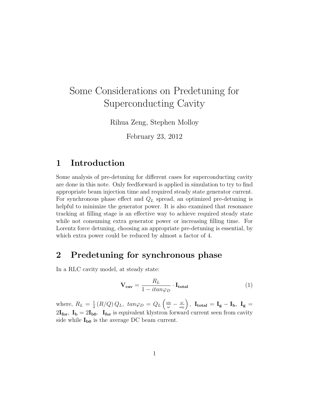# Some Considerations on Predetuning for Superconducting Cavity

Rihua Zeng, Stephen Molloy

February 23, 2012

#### 1 Introduction

Some analysis of pre-detuning for different cases for superconducting cavity are done in this note. Only feedforward is applied in simulation to try to find appropriate beam injection time and required steady state generator current. For synchronous phase effect and  $Q_L$  spread, an optimized pre-detuning is helpful to minimize the generator power. It is also examined that resonance tracking at filling stage is an effective way to achieve required steady state while not consuming extra generator power or increasing filling time. For Lorentz force detuning, choosing an appropriate pre-detuning is essential, by which extra power could be reduced by almost a factor of 4.

#### 2 Predetuning for synchronous phase

In a RLC cavity model, at steady state:

$$
\mathbf{V}_{\mathbf{cav}} = \frac{R_L}{1 - itan\varphi_D} \cdot \mathbf{I}_{\text{total}} \tag{1}
$$

where,  $R_L = \frac{1}{2}$  $\frac{1}{2} \left( R/Q \right) Q_L,~tan \varphi_D = Q_L \left( \frac{\omega_0}{\omega} - \frac{\omega}{\omega_0} \right)$  $\omega_0$  $\big\} \, , \,\, {\rm I}_{\rm total} \, = {\rm I}_{\rm g} - {\rm I}_{\rm b} , \,\, {\rm I}_{\rm g} \, =$  $2I_{\text{for}}$ ,  $I_{\text{b}} = 2I_{\text{b0}}$ .  $I_{\text{for}}$  is equivalent klystron forward current seen from cavity side while  $I_{b0}$  is the average DC beam current.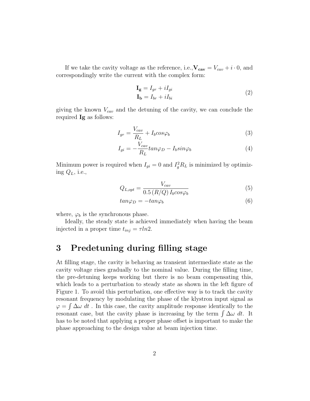If we take the cavity voltage as the reference, i.e.,  $V_{cav} = V_{cav} + i \cdot 0$ , and correspondingly write the current with the complex form:

$$
\mathbf{I_g} = I_{gr} + iI_{gi}
$$
  
\n
$$
\mathbf{I_b} = I_{br} + iI_{bi}
$$
\n(2)

giving the known  $V_{cav}$  and the detuning of the cavity, we can conclude the required Ig as follows:

$$
I_{gr} = \frac{V_{cav}}{R_L} + I_b cos\varphi_b
$$
\n<sup>(3)</sup>

$$
I_{gi} = -\frac{V_{cav}}{R_L} \tan \varphi_D - I_b \sin \varphi_b \tag{4}
$$

Minimum power is required when  $I_{gi} = 0$  and  $I_g^2 R_L$  is minimized by optimizing  $Q_L$ , i.e.,

$$
Q_{L,opt} = \frac{V_{cav}}{0.5 \left(R/Q\right) I_b \cos\varphi_b} \tag{5}
$$

$$
tan\varphi_D = -tan\varphi_b \tag{6}
$$

where,  $\varphi_b$  is the synchronous phase.

Ideally, the steady state is achieved immediately when having the beam injected in a proper time  $t_{inj} = \tau ln2$ .

# 3 Predetuning during filling stage

At filling stage, the cavity is behaving as transient intermediate state as the cavity voltage rises gradually to the nominal value. During the filling time, the pre-detuning keeps working but there is no beam compensating this, which leads to a perturbation to steady state as shown in the left figure of Figure 1. To avoid this perturbation, one effective way is to track the cavity resonant frequency by modulating the phase of the klystron input signal as  $\varphi = \int \Delta \omega dt$ . In this case, the cavity amplitude response identically to the resonant case, but the cavity phase is increasing by the term  $\int \Delta \omega dt$ . It has to be noted that applying a proper phase offset is important to make the phase approaching to the design value at beam injection time.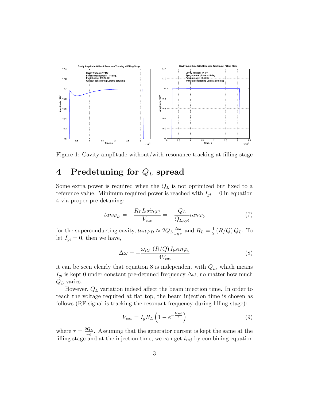

Figure 1: Cavity amplitude without/with resonance tracking at filling stage

## 4 Predetuning for  $Q_L$  spread

Some extra power is required when the  $Q_L$  is not optimized but fixed to a reference value. Minimum required power is reached with  $I_{gi} = 0$  in equation 4 via proper pre-detuning:

$$
tan\varphi_D = -\frac{R_L I_b sin\varphi_b}{V_{cav}} = -\frac{Q_L}{Q_{L, opt}} tan\varphi_b \tag{7}
$$

for the superconducting cavity,  $tan\varphi_D \approx 2Q_L \frac{\Delta\omega}{\omega_{DE}}$  $\frac{\Delta\omega}{\omega_{RF}}$  and  $R_L = \frac{1}{2}$  $\frac{1}{2} (R/Q) Q_L$ . To let  $I_{gi} = 0$ , then we have,

$$
\Delta\omega = -\frac{\omega_{RF} \left( R/Q \right) I_b sin \varphi_b}{4V_{cav}} \tag{8}
$$

it can be seen clearly that equation 8 is independent with  $Q_L$ , which means  $I_{gi}$  is kept 0 under constant pre-detuned frequency  $\Delta\omega$ , no matter how much  $Q_L$  varies.

However,  $Q_L$  variation indeed affect the beam injection time. In order to reach the voltage required at flat top, the beam injection time is chosen as follows (RF signal is tracking the resonant frequency during filling stage):

$$
V_{cav} = I_g R_L \left( 1 - e^{-\frac{t_{inj}}{\tau}} \right) \tag{9}
$$

where  $\tau = \frac{2Q_L}{\omega_0}$  $\frac{Q_L}{\omega_0}$ . Assuming that the generator current is kept the same at the filling stage and at the injection time, we can get  $t_{inj}$  by combining equation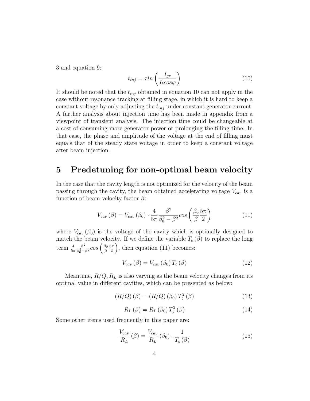3 and equation 9:

$$
t_{inj} = \tau ln\left(\frac{I_{gr}}{I_b cos \varphi}\right) \tag{10}
$$

It should be noted that the  $t_{inj}$  obtained in equation 10 can not apply in the case without resonance tracking at filling stage, in which it is hard to keep a constant voltage by only adjusting the  $t_{inj}$  under constant generator current. A further analysis about injection time has been made in appendix from a viewpoint of transient analysis. The injection time could be changeable at a cost of consuming more generator power or prolonging the filling time. In that case, the phase and amplitude of the voltage at the end of filling must equals that of the steady state voltage in order to keep a constant voltage after beam injection.

#### 5 Predetuning for non-optimal beam velocity

In the case that the cavity length is not optimized for the velocity of the beam passing through the cavity, the beam obtained accelerating voltage  $V_{cav}$  is a function of beam velocity factor  $\beta$ :

$$
V_{cav}(\beta) = V_{cav}(\beta_0) \cdot \frac{4}{5\pi} \frac{\beta^2}{\beta_0^2 - \beta^2} cos\left(\frac{\beta_0}{\beta} \frac{5\pi}{2}\right)
$$
(11)

where  $V_{cav}(\beta_0)$  is the voltage of the cavity which is optimally designed to match the beam velocity. If we define the variable  $T_b(\beta)$  to replace the long term  $\frac{4}{5\pi}$  $\beta^2$  $\frac{\beta^2}{\beta_0^2-\beta^2}cos\left(\frac{\beta_0}{\beta}\right)$ β  $5\pi$  $\left(\frac{5\pi}{2}\right)$ , then equation (11) becomes:

$$
V_{cav}(\beta) = V_{cav}(\beta_0) T_b(\beta)
$$
\n(12)

Meantime,  $R/Q, R_L$  is also varying as the beam velocity changes from its optimal value in different cavities, which can be presented as below:

$$
(R/Q) (\beta) = (R/Q) (\beta_0) T_b^2 (\beta)
$$
\n(13)

$$
R_L(\beta) = R_L(\beta_0) T_b^2(\beta)
$$
\n(14)

Some other items used frequently in this paper are:

$$
\frac{V_{cav}}{R_L}(\beta) = \frac{V_{cav}}{R_L}(\beta_0) \cdot \frac{1}{T_b(\beta)}
$$
(15)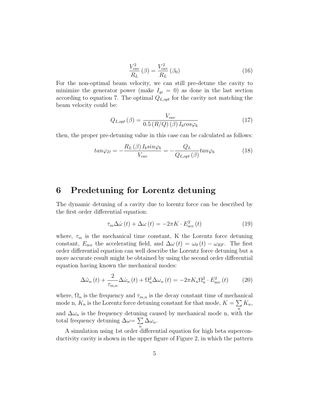$$
\frac{V_{cav}^2}{R_L}(\beta) = \frac{V_{cav}^2}{R_L}(\beta_0)
$$
\n(16)

For the non-optimal beam velocity, we can still pre-detune the cavity to minimize the generator power (make  $I_{gi} = 0$ ) as done in the last section according to equation 7. The optimal  $Q_{L, opt}$  for the cavity not matching the beam velocity could be:

$$
Q_{L,opt}(\beta) = \frac{V_{cav}}{0.5 \left(R/Q\right)(\beta) I_b cos\varphi_b} \tag{17}
$$

then, the proper pre-detuning value in this case can be calculated as follows:

$$
tan\varphi_D = -\frac{R_L(\beta) I_b sin\varphi_b}{V_{cav}} = -\frac{Q_L}{Q_{L,opt}(\beta)} tan\varphi_b
$$
 (18)

#### 6 Predetuning for Lorentz detuning

The dynamic detuning of a cavity due to lorentz force can be described by the first order differential equation:

$$
\tau_m \Delta \dot{\omega} \left( t \right) + \Delta \omega \left( t \right) = -2\pi K \cdot E_{acc}^2 \left( t \right) \tag{19}
$$

where,  $\tau_m$  is the mechanical time constant, K the Lorentz force detuning constant,  $E_{acc}$  the accelerating field, and  $\Delta\omega(t) = \omega_0(t) - \omega_{RF}$ . The first order differential equation can well describe the Lorentz force detuning but a more accurate result might be obtained by using the second order differential equation having known the mechanical modes:

$$
\Delta \ddot{\omega}_n(t) + \frac{2}{\tau_{m,n}} \Delta \dot{\omega}_n(t) + \Omega_n^2 \Delta \omega_n(t) = -2\pi K_n \Omega_n^2 \cdot E_{acc}^2(t) \tag{20}
$$

where,  $\Omega_n$  is the frequency and  $\tau_{m,n}$  is the decay constant time of mechanical mode n,  $K_n$  is the Lorentz force detuning constant for that mode,  $K = \sum K_n$ , and  $\Delta\omega_n$  is the frequency detuning caused by mechanical mode n, with the total frequency detuning  $\Delta \omega = \sum$ n  $\Delta\omega_n$ .

A simulation using 1st order differential equation for high beta superconductivity cavity is shown in the upper figure of Figure 2, in which the pattern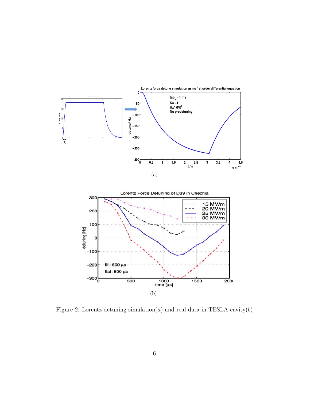

Figure 2: Lorentz detuning simulation( $a$ ) and real data in TESLA cavity( $b$ )

(b)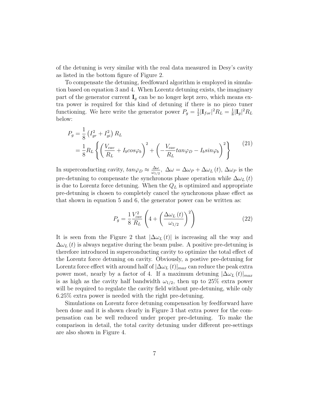of the detuning is very similar with the real data measured in Desy's cavity as listed in the bottom figure of Figure 2.

To compensate the detuning, feedfoward algorithm is employed in simulation based on equation 3 and 4. When Lorentz detuning exists, the imaginary part of the generator current  $I_q$  can be no longer kept zero, which means extra power is required for this kind of detuning if there is no piezo tuner functioning. We here write the generator power  $P_g = \frac{1}{2}$  $\frac{1}{2}|\mathbf{I}_{for}|^{2}R_{L}=\frac{1}{8}$  $\frac{1}{8}|\mathbf{I}_g|^2R_L$ below:

$$
P_g = \frac{1}{8} \left( I_{gr}^2 + I_{gi}^2 \right) R_L
$$
  
= 
$$
\frac{1}{8} R_L \left\{ \left( \frac{V_{cav}}{R_L} + I_b cos\varphi_b \right)^2 + \left( -\frac{V_{cav}}{R_L} tan\varphi_D - I_b sin\varphi_b \right)^2 \right\}
$$
 (21)

In superconducting cavity,  $tan\varphi_D \approx \frac{\Delta\omega}{\omega_M}$  $\frac{\Delta\omega}{\omega_{1/2}}$ ,  $\Delta\omega = \Delta\omega_P + \Delta\omega_L(t)$ ,  $\Delta\omega_P$  is the pre-detuning to compensate the synchronous phase operation while  $\Delta\omega_L(t)$ is due to Lorentz force detuning. When the  $Q_L$  is optimized and appropriate pre-detuning is chosen to completely cancel the synchronous phase effect as that shown in equation 5 and 6, the generator power can be written as:

$$
P_g = \frac{1}{8} \frac{V_{cav}^2}{R_L} \left( 4 + \left( \frac{\Delta \omega_L \left( t \right)}{\omega_{1/2}} \right)^2 \right) \tag{22}
$$

It is seen from the Figure 2 that  $|\Delta \omega_L(t)|$  is increasing all the way and  $\Delta\omega_L(t)$  is always negative during the beam pulse. A positive pre-detuning is therefore introduced in superconducting cavity to optimize the total effect of the Lorentz force detuning on cavity. Obviously, a postive pre-detuning for Lorentz force effect with around half of  $|\Delta \omega_L(t)|_{max}$  can reduce the peak extra power most, nearly by a factor of 4. If a maximum detuning  $|\Delta \omega_L(t)|_{max}$ is as high as the cavity half bandwidth  $\omega_{1/2}$ , then up to 25% extra power will be required to regulate the cavity field without pre-detuning, while only 6.25% extra power is needed with the right pre-detuning.

Simulations on Lorentz force detuning compensation by feedforward have been done and it is shown clearly in Figure 3 that extra power for the compensation can be well reduced under proper pre-detuning. To make the comparison in detail, the total cavity detuning under different pre-settings are also shown in Figure 4.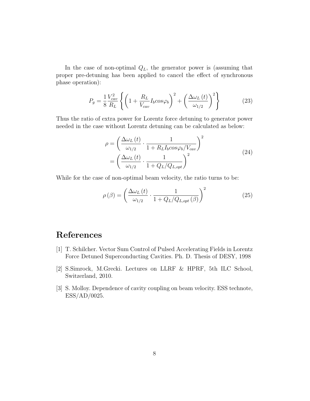In the case of non-optimal  $Q_L$ , the generator power is (assuming that proper pre-detuning has been applied to cancel the effect of synchronous phase operation):

$$
P_g = \frac{1}{8} \frac{V_{cav}^2}{R_L} \left\{ \left( 1 + \frac{R_L}{V_{cav}} I_b cos\varphi_b \right)^2 + \left( \frac{\Delta \omega_L \left( t \right)}{\omega_{1/2}} \right)^2 \right\} \tag{23}
$$

Thus the ratio of extra power for Lorentz force detuning to generator power needed in the case without Lorentz detuning can be calculated as below:

$$
\rho = \left(\frac{\Delta\omega_L(t)}{\omega_{1/2}} \cdot \frac{1}{1 + R_L I_b cos\varphi_b/V_{cav}}\right)^2
$$
  
= 
$$
\left(\frac{\Delta\omega_L(t)}{\omega_{1/2}} \cdot \frac{1}{1 + Q_L/Q_{L,opt}}\right)^2
$$
 (24)

While for the case of non-optimal beam velocity, the ratio turns to be:

$$
\rho(\beta) = \left(\frac{\Delta\omega_L(t)}{\omega_{1/2}} \cdot \frac{1}{1 + Q_L/Q_{L,opt}(\beta)}\right)^2
$$
\n(25)

### References

- [1] T. Schilcher. Vector Sum Control of Pulsed Accelerating Fields in Lorentz Force Detuned Superconducting Cavities. Ph. D. Thesis of DESY, 1998
- [2] S.Simrock, M.Grecki. Lectures on LLRF & HPRF, 5th ILC School, Switzerland, 2010.
- [3] S. Molloy. Dependence of cavity coupling on beam velocity. ESS technote, ESS/AD/0025.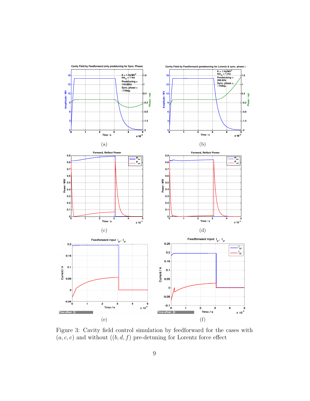

Figure 3: Cavity field control simulation by feedforward for the cases with  $(a, c, e)$  and without  $((b, d, f)$  pre-detuning for Lorentz force effect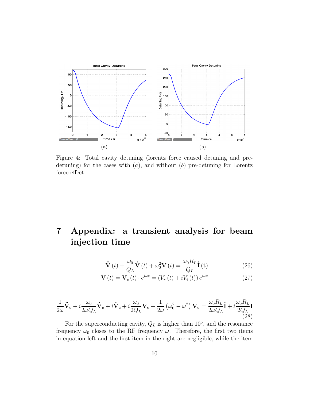

Figure 4: Total cavity detuning (lorentz force caused detuning and predetuning) for the cases with  $(a)$ , and without  $(b)$  pre-detuning for Lorentz force effect

# 7 Appendix: a transient analysis for beam injection time

$$
\ddot{\mathbf{V}}(t) + \frac{\omega_0}{Q_L} \dot{\mathbf{V}}(t) + \omega_0^2 \mathbf{V}(t) = \frac{\omega_0 R_L}{Q_L} \dot{\mathbf{I}}(t)
$$
\n(26)

$$
\mathbf{V}\left(t\right) = \mathbf{V}_c\left(t\right) \cdot e^{i\omega t} = \left(V_r\left(t\right) + iV_i\left(t\right)\right)e^{i\omega t} \tag{27}
$$

$$
\frac{1}{2\omega}\ddot{\mathbf{V}}_{\mathbf{c}} + i\frac{\omega_0}{2\omega Q_L}\dot{\mathbf{V}}_{\mathbf{c}} + i\dot{\mathbf{V}}_{\mathbf{c}} + i\frac{\omega_0}{2Q_L}\mathbf{V}_{\mathbf{c}} + \frac{1}{2\omega}(\omega_0^2 - \omega^2)\mathbf{V}_{\mathbf{c}} = \frac{\omega_0 R_L}{2\omega Q_L}\dot{\mathbf{I}} + i\frac{\omega_0 R_L}{2Q_L}\mathbf{I}
$$
\n(28)

For the superconducting cavity,  $Q_L$  is higher than  $10^5$ , and the resonance frequency  $\omega_0$  closes to the RF frequency  $\omega$ . Therefore, the first two items in equation left and the first item in the right are negligible, while the item